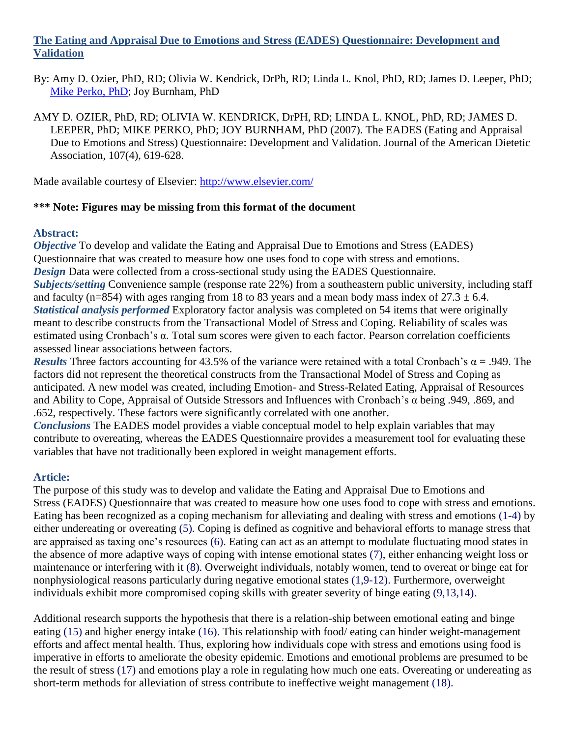### **The Eating and Appraisal Due to Emotions and Stress (EADES) Questionnaire: Development and Validation**

By: Amy D. Ozier, PhD, RD; Olivia W. Kendrick, DrPh, RD; Linda L. Knol, PhD, RD; James D. Leeper, PhD; [Mike Perko, PhD;](http://libres.uncg.edu/ir/uncg/clist.aspx?id=3237) Joy Burnham, PhD

AMY D. OZIER, PhD, RD; OLIVIA W. KENDRICK, DrPH, RD; LINDA L. KNOL, PhD, RD; JAMES D. LEEPER, PhD; MIKE PERKO, PhD; JOY BURNHAM, PhD (2007). The EADES (Eating and Appraisal Due to Emotions and Stress) Questionnaire: Development and Validation. Journal of the American Dietetic Association, 107(4), 619-628.

Made available courtesy of Elsevier:<http://www.elsevier.com/>

### **\*\*\* Note: Figures may be missing from this format of the document**

### **Abstract:**

*Objective* To develop and validate the Eating and Appraisal Due to Emotions and Stress (EADES) Questionnaire that was created to measure how one uses food to cope with stress and emotions. *Design* Data were collected from a cross-sectional study using the EADES Questionnaire. *Subjects/setting* Convenience sample (response rate 22%) from a southeastern public university, including staff and faculty (n=854) with ages ranging from 18 to 83 years and a mean body mass index of  $27.3 \pm 6.4$ . *Statistical analysis performed* Exploratory factor analysis was completed on 54 items that were originally meant to describe constructs from the Transactional Model of Stress and Coping. Reliability of scales was estimated using Cronbach's α. Total sum scores were given to each factor. Pearson correlation coefficients assessed linear associations between factors.

*Results* Three factors accounting for 43.5% of the variance were retained with a total Cronbach's  $\alpha$  = .949. The factors did not represent the theoretical constructs from the Transactional Model of Stress and Coping as anticipated. A new model was created, including Emotion- and Stress-Related Eating, Appraisal of Resources and Ability to Cope, Appraisal of Outside Stressors and Influences with Cronbach's α being .949, .869, and .652, respectively. These factors were significantly correlated with one another.

*Conclusions* The EADES model provides a viable conceptual model to help explain variables that may contribute to overeating, whereas the EADES Questionnaire provides a measurement tool for evaluating these variables that have not traditionally been explored in weight management efforts.

### **Article:**

The purpose of this study was to develop and validate the Eating and Appraisal Due to Emotions and Stress (EADES) Questionnaire that was created to measure how one uses food to cope with stress and emotions. Eating has been recognized as a coping mechanism for alleviating and dealing with stress and emotions (1-4) by either undereating or overeating (5). Coping is defined as cognitive and behavioral efforts to manage stress that are appraised as taxing one's resources (6). Eating can act as an attempt to modulate fluctuating mood states in the absence of more adaptive ways of coping with intense emotional states (7), either enhancing weight loss or maintenance or interfering with it (8). Overweight individuals, notably women, tend to overeat or binge eat for nonphysiological reasons particularly during negative emotional states (1,9-12). Furthermore, overweight individuals exhibit more compromised coping skills with greater severity of binge eating (9,13,14).

Additional research supports the hypothesis that there is a relation-ship between emotional eating and binge eating (15) and higher energy intake (16). This relationship with food/ eating can hinder weight-management efforts and affect mental health. Thus, exploring how individuals cope with stress and emotions using food is imperative in efforts to ameliorate the obesity epidemic. Emotions and emotional problems are presumed to be the result of stress (17) and emotions play a role in regulating how much one eats. Overeating or undereating as short-term methods for alleviation of stress contribute to ineffective weight management (18).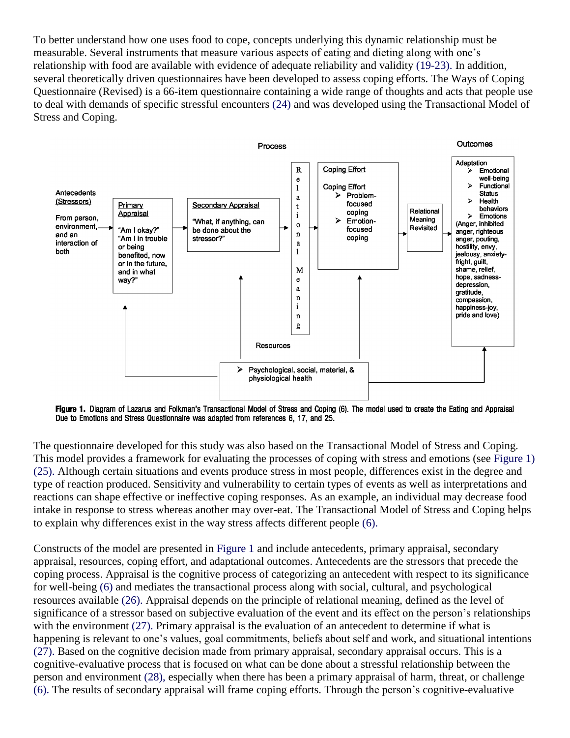To better understand how one uses food to cope, concepts underlying this dynamic relationship must be measurable. Several instruments that measure various aspects of eating and dieting along with one's relationship with food are available with evidence of adequate reliability and validity (19-23). In addition, several theoretically driven questionnaires have been developed to assess coping efforts. The Ways of Coping Questionnaire (Revised) is a 66-item questionnaire containing a wide range of thoughts and acts that people use to deal with demands of specific stressful encounters (24) and was developed using the Transactional Model of Stress and Coping.



Figure 1. Diagram of Lazarus and Folkman's Transactional Model of Stress and Coping (6). The model used to create the Eating and Appraisal Due to Emotions and Stress Questionnaire was adapted from references 6, 17, and 25.

The questionnaire developed for this study was also based on the Transactional Model of Stress and Coping. This model provides a framework for evaluating the processes of coping with stress and emotions (see Figure 1) (25). Although certain situations and events produce stress in most people, differences exist in the degree and type of reaction produced. Sensitivity and vulnerability to certain types of events as well as interpretations and reactions can shape effective or ineffective coping responses. As an example, an individual may decrease food intake in response to stress whereas another may over-eat. The Transactional Model of Stress and Coping helps to explain why differences exist in the way stress affects different people (6).

Constructs of the model are presented in Figure 1 and include antecedents, primary appraisal, secondary appraisal, resources, coping effort, and adaptational outcomes. Antecedents are the stressors that precede the coping process. Appraisal is the cognitive process of categorizing an antecedent with respect to its significance for well-being (6) and mediates the transactional process along with social, cultural, and psychological resources available (26). Appraisal depends on the principle of relational meaning, defined as the level of significance of a stressor based on subjective evaluation of the event and its effect on the person's relationships with the environment (27). Primary appraisal is the evaluation of an antecedent to determine if what is happening is relevant to one's values, goal commitments, beliefs about self and work, and situational intentions (27). Based on the cognitive decision made from primary appraisal, secondary appraisal occurs. This is a cognitive-evaluative process that is focused on what can be done about a stressful relationship between the person and environment (28), especially when there has been a primary appraisal of harm, threat, or challenge (6). The results of secondary appraisal will frame coping efforts. Through the person's cognitive-evaluative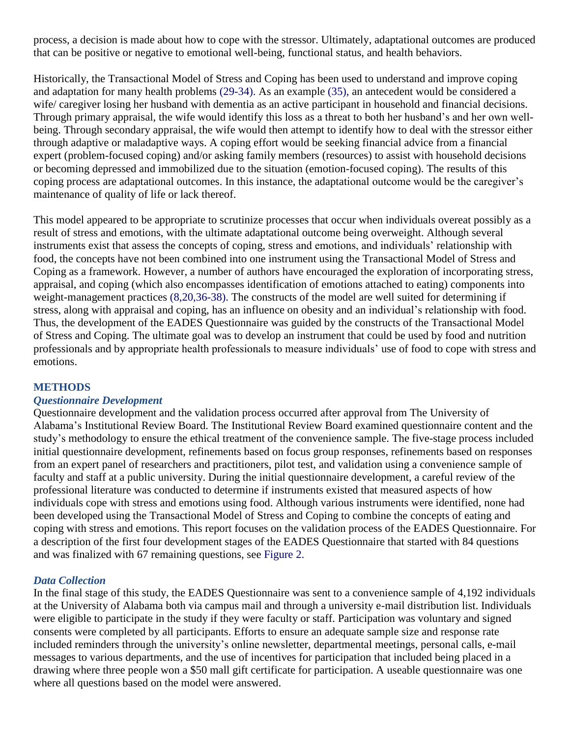process, a decision is made about how to cope with the stressor. Ultimately, adaptational outcomes are produced that can be positive or negative to emotional well-being, functional status, and health behaviors.

Historically, the Transactional Model of Stress and Coping has been used to understand and improve coping and adaptation for many health problems (29-34). As an example (35), an antecedent would be considered a wife/ caregiver losing her husband with dementia as an active participant in household and financial decisions. Through primary appraisal, the wife would identify this loss as a threat to both her husband's and her own wellbeing. Through secondary appraisal, the wife would then attempt to identify how to deal with the stressor either through adaptive or maladaptive ways. A coping effort would be seeking financial advice from a financial expert (problem-focused coping) and/or asking family members (resources) to assist with household decisions or becoming depressed and immobilized due to the situation (emotion-focused coping). The results of this coping process are adaptational outcomes. In this instance, the adaptational outcome would be the caregiver's maintenance of quality of life or lack thereof.

This model appeared to be appropriate to scrutinize processes that occur when individuals overeat possibly as a result of stress and emotions, with the ultimate adaptational outcome being overweight. Although several instruments exist that assess the concepts of coping, stress and emotions, and individuals' relationship with food, the concepts have not been combined into one instrument using the Transactional Model of Stress and Coping as a framework. However, a number of authors have encouraged the exploration of incorporating stress, appraisal, and coping (which also encompasses identification of emotions attached to eating) components into weight-management practices (8,20,36-38). The constructs of the model are well suited for determining if stress, along with appraisal and coping, has an influence on obesity and an individual's relationship with food. Thus, the development of the EADES Questionnaire was guided by the constructs of the Transactional Model of Stress and Coping. The ultimate goal was to develop an instrument that could be used by food and nutrition professionals and by appropriate health professionals to measure individuals' use of food to cope with stress and emotions.

### **METHODS**

### *Questionnaire Development*

Questionnaire development and the validation process occurred after approval from The University of Alabama's Institutional Review Board. The Institutional Review Board examined questionnaire content and the study's methodology to ensure the ethical treatment of the convenience sample. The five-stage process included initial questionnaire development, refinements based on focus group responses, refinements based on responses from an expert panel of researchers and practitioners, pilot test, and validation using a convenience sample of faculty and staff at a public university. During the initial questionnaire development, a careful review of the professional literature was conducted to determine if instruments existed that measured aspects of how individuals cope with stress and emotions using food. Although various instruments were identified, none had been developed using the Transactional Model of Stress and Coping to combine the concepts of eating and coping with stress and emotions. This report focuses on the validation process of the EADES Questionnaire. For a description of the first four development stages of the EADES Questionnaire that started with 84 questions and was finalized with 67 remaining questions, see Figure 2.

### *Data Collection*

In the final stage of this study, the EADES Questionnaire was sent to a convenience sample of 4,192 individuals at the University of Alabama both via campus mail and through a university e-mail distribution list. Individuals were eligible to participate in the study if they were faculty or staff. Participation was voluntary and signed consents were completed by all participants. Efforts to ensure an adequate sample size and response rate included reminders through the university's online newsletter, departmental meetings, personal calls, e-mail messages to various departments, and the use of incentives for participation that included being placed in a drawing where three people won a \$50 mall gift certificate for participation. A useable questionnaire was one where all questions based on the model were answered.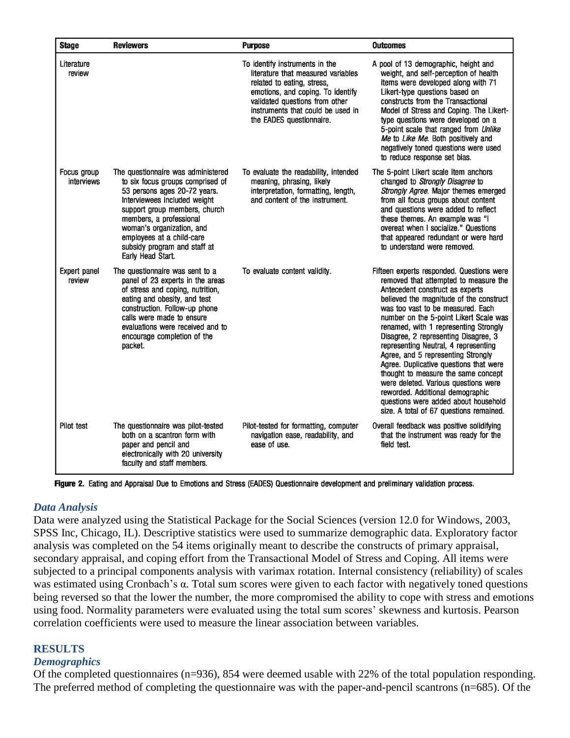| <b>Stage</b>              | <b>Reviewers</b>                                                                                                                                                                                                                                                                                                  | <b>Purpose</b>                                                                                                                                                                                                                             | <b>Outcomes</b>                                                                                                                                                                                                                                                                                                                                                                                                                                                                                                                                                                                                                                                |
|---------------------------|-------------------------------------------------------------------------------------------------------------------------------------------------------------------------------------------------------------------------------------------------------------------------------------------------------------------|--------------------------------------------------------------------------------------------------------------------------------------------------------------------------------------------------------------------------------------------|----------------------------------------------------------------------------------------------------------------------------------------------------------------------------------------------------------------------------------------------------------------------------------------------------------------------------------------------------------------------------------------------------------------------------------------------------------------------------------------------------------------------------------------------------------------------------------------------------------------------------------------------------------------|
| Literature<br>review      |                                                                                                                                                                                                                                                                                                                   | To identify instruments in the<br>literature that measured variables<br>related to eating, stress,<br>emotions, and coping. To identify<br>validated questions from other<br>instruments that could be used in<br>the EADES questionnaire. | A pool of 13 demographic, height and<br>weight, and self-perception of health<br>items were developed along with 71<br>Likert-type questions based on<br>constructs from the Transactional<br>Model of Stress and Coping. The Likert-<br>type questions were developed on a<br>5-point scale that ranged from Unlike<br>Me to Like Me. Both positively and<br>negatively toned questions were used<br>to reduce response set bias.                                                                                                                                                                                                                             |
| Focus group<br>interviews | The questionnaire was administered<br>to six focus groups comprised of<br>53 persons ages 20-72 years.<br>Interviewees included weight<br>support group members, church<br>members, a professional<br>woman's organization, and<br>employees at a child-care<br>subsidy program and staff at<br>Early Head Start. | To evaluate the readability, intended<br>meaning, phrasing, likely<br>interpretation, formatting, length,<br>and content of the instrument.                                                                                                | The 5-point Likert scale item anchors<br>changed to Strongly Disagree to<br>Strongly Agree. Major themes emerged<br>from all focus groups about content<br>and questions were added to reflect<br>these themes. An example was "I<br>overeat when I socialize." Questions<br>that appeared redundant or were hard<br>to understand were removed.                                                                                                                                                                                                                                                                                                               |
| Expert panel<br>review    | The questionnaire was sent to a<br>panel of 23 experts in the areas<br>of stress and coping, nutrition,<br>eating and obesity, and test<br>construction. Follow-up phone<br>calls were made to ensure<br>evaluations were received and to<br>encourage completion of the<br>packet.                               | To evaluate content validity.                                                                                                                                                                                                              | Fifteen experts responded. Questions were<br>removed that attempted to measure the<br>Antecedent construct as experts<br>believed the magnitude of the construct<br>was too vast to be measured. Each<br>number on the 5-point Likert Scale was<br>renamed, with 1 representing Strongly<br>Disagree, 2 representing Disagree, 3<br>representing Neutral, 4 representing<br>Agree, and 5 representing Strongly<br>Agree. Duplicative questions that were<br>thought to measure the same concept<br>were deleted. Various questions were<br>reworded. Additional demographic<br>questions were added about household<br>size. A total of 67 questions remained. |
| Pilot test                | The questionnaire was pilot-tested<br>both on a scantron form with<br>paper and pencil and<br>electronically with 20 university<br>faculty and staff members.                                                                                                                                                     | Pilot-tested for formatting, computer<br>navigation ease, readability, and<br>ease of use.                                                                                                                                                 | Overall feedback was positive solidifying<br>that the instrument was ready for the<br>field test.                                                                                                                                                                                                                                                                                                                                                                                                                                                                                                                                                              |

Figure 2. Eating and Appraisal Due to Emotions and Stress (EADES) Questionnaire development and preliminary validation process.

# *Data Analysis*

Data were analyzed using the Statistical Package for the Social Sciences (version 12.0 for Windows, 2003, SPSS Inc, Chicago, IL). Descriptive statistics were used to summarize demographic data. Exploratory factor analysis was completed on the 54 items originally meant to describe the constructs of primary appraisal, secondary appraisal, and coping effort from the Transactional Model of Stress and Coping. All items were subjected to a principal components analysis with varimax rotation. Internal consistency (reliability) of scales was estimated using Cronbach's α. Total sum scores were given to each factor with negatively toned questions being reversed so that the lower the number, the more compromised the ability to cope with stress and emotions using food. Normality parameters were evaluated using the total sum scores' skewness and kurtosis. Pearson correlation coefficients were used to measure the linear association between variables.

# **RESULTS**

### *Demographics*

Of the completed questionnaires (n=936), 854 were deemed usable with 22% of the total population responding. The preferred method of completing the questionnaire was with the paper-and-pencil scantrons (n=685). Of the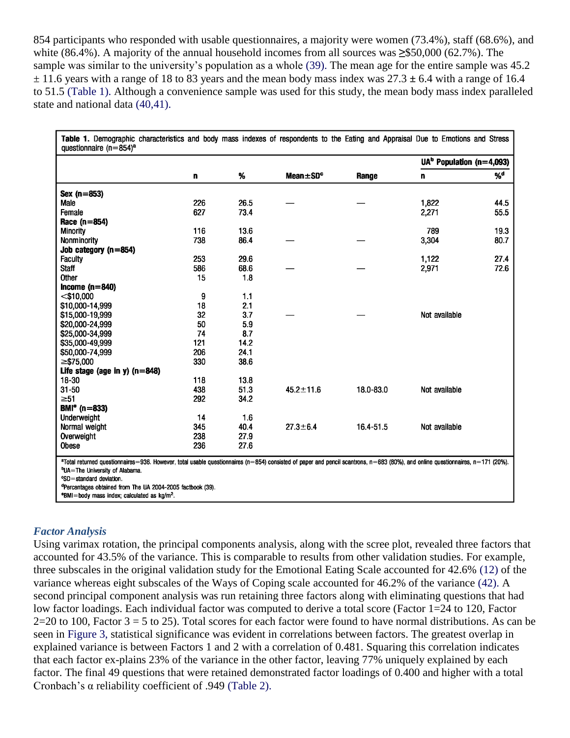854 participants who responded with usable questionnaires, a majority were women (73.4%), staff (68.6%), and white (86.4%). A majority of the annual household incomes from all sources was **≥**\$50,000 (62.7%). The sample was similar to the university's population as a whole (39). The mean age for the entire sample was 45.2 ± 11.6 years with a range of 18 to 83 years and the mean body mass index was 27.3 **±** 6.4 with a range of 16.4 to 51.5 (Table 1). Although a convenience sample was used for this study, the mean body mass index paralleled state and national data (40,41).

|                                 | n   | %    | Mean±SD <sup>c</sup> | Range     | UA <sup>b</sup> Population (n=4,093) |                |
|---------------------------------|-----|------|----------------------|-----------|--------------------------------------|----------------|
|                                 |     |      |                      |           | n                                    | % <sup>d</sup> |
| Sex (n=853)                     |     |      |                      |           |                                      |                |
| Male                            | 226 | 26.5 |                      |           | 1,822                                | 44.5           |
| Female                          | 627 | 73.4 |                      |           | 2,271                                | 55.5           |
| Race $(n=854)$                  |     |      |                      |           |                                      |                |
| <b>Minority</b>                 | 116 | 13.6 |                      |           | 789                                  | 19.3           |
| Nonminority                     | 738 | 86.4 |                      |           | 3,304                                | 80.7           |
| Job category $(n=854)$          |     |      |                      |           |                                      |                |
| <b>Faculty</b>                  | 253 | 29.6 |                      |           | 1,122                                | 27.4           |
| <b>Staff</b>                    | 586 | 68.6 |                      |           | 2,971                                | 72.6           |
| Other                           | 15  | 1.8  |                      |           |                                      |                |
| Income $(n=840)$                |     |      |                      |           |                                      |                |
| $<$ \$10,000                    | 9   | 1.1  |                      |           |                                      |                |
| \$10,000-14,999                 | 18  | 2.1  |                      |           |                                      |                |
| \$15,000-19,999                 | 32  | 3.7  |                      |           | Not available                        |                |
| \$20,000-24,999                 | 50  | 5.9  |                      |           |                                      |                |
| \$25,000-34,999                 | 74  | 8.7  |                      |           |                                      |                |
| \$35,000-49,999                 | 121 | 14.2 |                      |           |                                      |                |
| \$50,000-74,999                 | 206 | 24.1 |                      |           |                                      |                |
| $\geq$ \$75,000                 | 330 | 38.6 |                      |           |                                      |                |
| Life stage (age in y) $(n=848)$ |     |      |                      |           |                                      |                |
| 18-30                           | 118 | 13.8 |                      |           |                                      |                |
| $31 - 50$                       | 438 | 51.3 | $45.2 \pm 11.6$      | 18.0-83.0 | Not available                        |                |
| $\geq 51$                       | 292 | 34.2 |                      |           |                                      |                |
| $BMIe$ (n=833)                  |     |      |                      |           |                                      |                |
| Underweight                     | 14  | 1.6  |                      |           |                                      |                |
| Normal weight                   | 345 | 40.4 | $27.3 \pm 6.4$       | 16.4-51.5 | Not available                        |                |
| Overweight                      | 238 | 27.9 |                      |           |                                      |                |
| Obese                           | 236 | 27.6 |                      |           |                                      |                |

<sup>b</sup>UA=The University of Alabama.

**CSD**=standard deviation.

<sup>d</sup>Percentages obtained from The UA 2004-2005 factbook (39).

"BMI=body mass index; calculated as kg/m<sup>2</sup>.

### *Factor Analysis*

Using varimax rotation, the principal components analysis, along with the scree plot, revealed three factors that accounted for 43.5% of the variance. This is comparable to results from other validation studies. For example, three subscales in the original validation study for the Emotional Eating Scale accounted for 42.6% (12) of the variance whereas eight subscales of the Ways of Coping scale accounted for 46.2% of the variance (42). A second principal component analysis was run retaining three factors along with eliminating questions that had low factor loadings. Each individual factor was computed to derive a total score (Factor 1=24 to 120, Factor  $2=20$  to 100, Factor  $3=5$  to 25). Total scores for each factor were found to have normal distributions. As can be seen in Figure 3, statistical significance was evident in correlations between factors. The greatest overlap in explained variance is between Factors 1 and 2 with a correlation of 0.481. Squaring this correlation indicates that each factor ex-plains 23% of the variance in the other factor, leaving 77% uniquely explained by each factor. The final 49 questions that were retained demonstrated factor loadings of 0.400 and higher with a total Cronbach's α reliability coefficient of .949 (Table 2).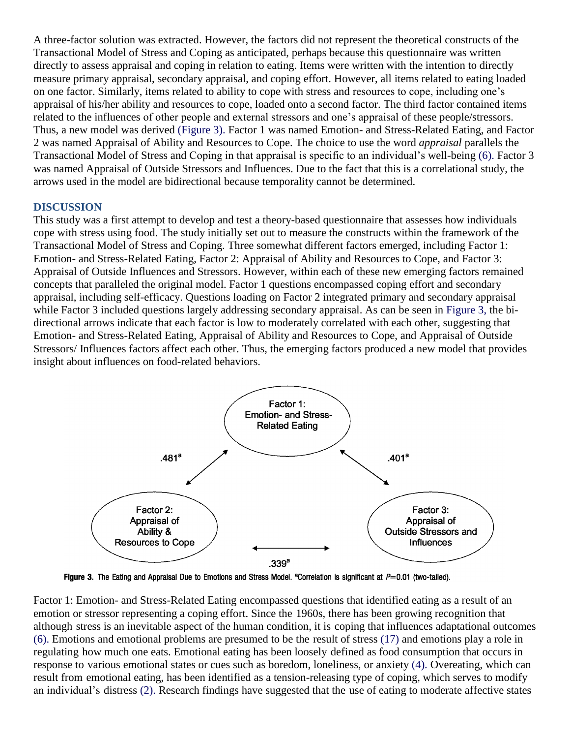A three-factor solution was extracted. However, the factors did not represent the theoretical constructs of the Transactional Model of Stress and Coping as anticipated, perhaps because this questionnaire was written directly to assess appraisal and coping in relation to eating. Items were written with the intention to directly measure primary appraisal, secondary appraisal, and coping effort. However, all items related to eating loaded on one factor. Similarly, items related to ability to cope with stress and resources to cope, including one's appraisal of his/her ability and resources to cope, loaded onto a second factor. The third factor contained items related to the influences of other people and external stressors and one's appraisal of these people/stressors. Thus, a new model was derived (Figure 3). Factor 1 was named Emotion- and Stress-Related Eating, and Factor 2 was named Appraisal of Ability and Resources to Cope. The choice to use the word *appraisal* parallels the Transactional Model of Stress and Coping in that appraisal is specific to an individual's well-being (6). Factor 3 was named Appraisal of Outside Stressors and Influences. Due to the fact that this is a correlational study, the arrows used in the model are bidirectional because temporality cannot be determined.

#### **DISCUSSION**

This study was a first attempt to develop and test a theory-based questionnaire that assesses how individuals cope with stress using food. The study initially set out to measure the constructs within the framework of the Transactional Model of Stress and Coping. Three somewhat different factors emerged, including Factor 1: Emotion- and Stress-Related Eating, Factor 2: Appraisal of Ability and Resources to Cope, and Factor 3: Appraisal of Outside Influences and Stressors. However, within each of these new emerging factors remained concepts that paralleled the original model. Factor 1 questions encompassed coping effort and secondary appraisal, including self-efficacy. Questions loading on Factor 2 integrated primary and secondary appraisal while Factor 3 included questions largely addressing secondary appraisal. As can be seen in Figure 3, the bidirectional arrows indicate that each factor is low to moderately correlated with each other, suggesting that Emotion- and Stress-Related Eating, Appraisal of Ability and Resources to Cope, and Appraisal of Outside Stressors/ Influences factors affect each other. Thus, the emerging factors produced a new model that provides insight about influences on food-related behaviors.



Figure 3. The Eating and Appraisal Due to Emotions and Stress Model. <sup>a</sup>Correlation is significant at P=0.01 (two-tailed).

Factor 1: Emotion- and Stress-Related Eating encompassed questions that identified eating as a result of an emotion or stressor representing a coping effort. Since the 1960s, there has been growing recognition that although stress is an inevitable aspect of the human condition, it is coping that influences adaptational outcomes (6). Emotions and emotional problems are presumed to be the result of stress (17) and emotions play a role in regulating how much one eats. Emotional eating has been loosely defined as food consumption that occurs in response to various emotional states or cues such as boredom, loneliness, or anxiety (4). Overeating, which can result from emotional eating, has been identified as a tension-releasing type of coping, which serves to modify an individual's distress (2). Research findings have suggested that the use of eating to moderate affective states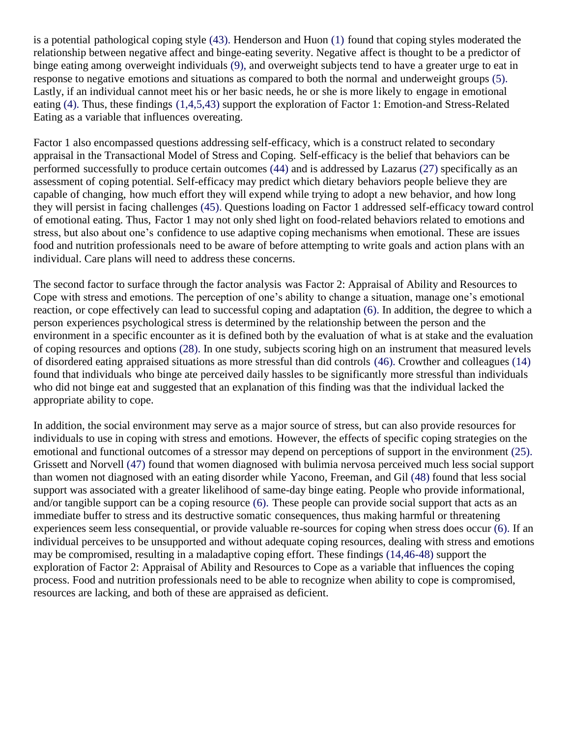is a potential pathological coping style (43). Henderson and Huon (1) found that coping styles moderated the relationship between negative affect and binge-eating severity. Negative affect is thought to be a predictor of binge eating among overweight individuals (9), and overweight subjects tend to have a greater urge to eat in response to negative emotions and situations as compared to both the normal and underweight groups (5). Lastly, if an individual cannot meet his or her basic needs, he or she is more likely to engage in emotional eating (4). Thus, these findings (1,4,5,43) support the exploration of Factor 1: Emotion-and Stress-Related Eating as a variable that influences overeating.

Factor 1 also encompassed questions addressing self-efficacy, which is a construct related to secondary appraisal in the Transactional Model of Stress and Coping. Self-efficacy is the belief that behaviors can be performed successfully to produce certain outcomes (44) and is addressed by Lazarus (27) specifically as an assessment of coping potential. Self-efficacy may predict which dietary behaviors people believe they are capable of changing, how much effort they will expend while trying to adopt a new behavior, and how long they will persist in facing challenges (45). Questions loading on Factor 1 addressed self-efficacy toward control of emotional eating. Thus, Factor 1 may not only shed light on food-related behaviors related to emotions and stress, but also about one's confidence to use adaptive coping mechanisms when emotional. These are issues food and nutrition professionals need to be aware of before attempting to write goals and action plans with an individual. Care plans will need to address these concerns.

The second factor to surface through the factor analysis was Factor 2: Appraisal of Ability and Resources to Cope with stress and emotions. The perception of one's ability to change a situation, manage one's emotional reaction, or cope effectively can lead to successful coping and adaptation (6). In addition, the degree to which a person experiences psychological stress is determined by the relationship between the person and the environment in a specific encounter as it is defined both by the evaluation of what is at stake and the evaluation of coping resources and options (28). In one study, subjects scoring high on an instrument that measured levels of disordered eating appraised situations as more stressful than did controls (46). Crowther and colleagues (14) found that individuals who binge ate perceived daily hassles to be significantly more stressful than individuals who did not binge eat and suggested that an explanation of this finding was that the individual lacked the appropriate ability to cope.

In addition, the social environment may serve as a major source of stress, but can also provide resources for individuals to use in coping with stress and emotions. However, the effects of specific coping strategies on the emotional and functional outcomes of a stressor may depend on perceptions of support in the environment (25). Grissett and Norvell (47) found that women diagnosed with bulimia nervosa perceived much less social support than women not diagnosed with an eating disorder while Yacono, Freeman, and Gil (48) found that less social support was associated with a greater likelihood of same-day binge eating. People who provide informational, and/or tangible support can be a coping resource (6). These people can provide social support that acts as an immediate buffer to stress and its destructive somatic consequences, thus making harmful or threatening experiences seem less consequential, or provide valuable re-sources for coping when stress does occur (6). If an individual perceives to be unsupported and without adequate coping resources, dealing with stress and emotions may be compromised, resulting in a maladaptive coping effort. These findings (14,46-48) support the exploration of Factor 2: Appraisal of Ability and Resources to Cope as a variable that influences the coping process. Food and nutrition professionals need to be able to recognize when ability to cope is compromised, resources are lacking, and both of these are appraised as deficient.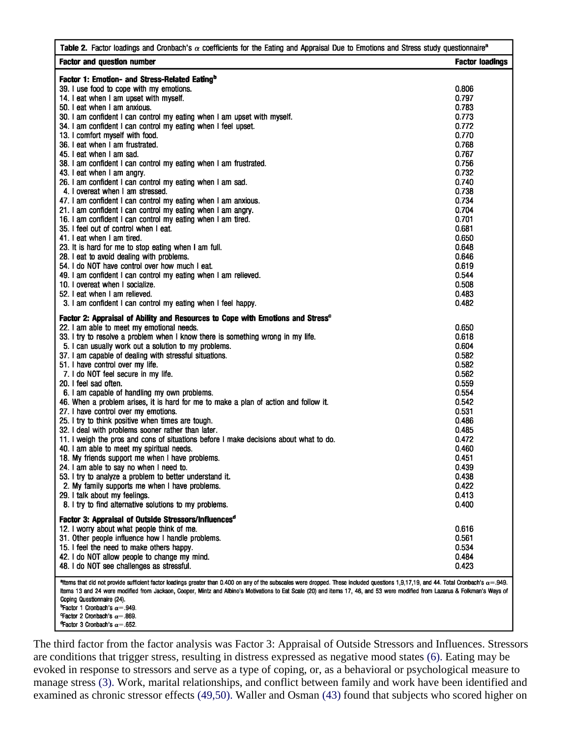| Table 2. Factor loadings and Cronbach's $\alpha$ coefficients for the Eating and Appraisal Due to Emotions and Stress study questionnaire <sup>a</sup>                                                                                                                                                                                                                                                                                                                                                                                                                              |                        |
|-------------------------------------------------------------------------------------------------------------------------------------------------------------------------------------------------------------------------------------------------------------------------------------------------------------------------------------------------------------------------------------------------------------------------------------------------------------------------------------------------------------------------------------------------------------------------------------|------------------------|
| <b>Factor and question number</b>                                                                                                                                                                                                                                                                                                                                                                                                                                                                                                                                                   | <b>Factor loadings</b> |
| Factor 1: Emotion- and Stress-Related Eating <sup>b</sup>                                                                                                                                                                                                                                                                                                                                                                                                                                                                                                                           |                        |
| 39. I use food to cope with my emotions.                                                                                                                                                                                                                                                                                                                                                                                                                                                                                                                                            | 0.806                  |
| 14. I eat when I am upset with myself.                                                                                                                                                                                                                                                                                                                                                                                                                                                                                                                                              | 0.797                  |
| 50. I eat when I am anxious.                                                                                                                                                                                                                                                                                                                                                                                                                                                                                                                                                        | 0.783                  |
| 30. I am confident I can control my eating when I am upset with myself.                                                                                                                                                                                                                                                                                                                                                                                                                                                                                                             | 0.773                  |
| 34. I am confident I can control my eating when I feel upset.                                                                                                                                                                                                                                                                                                                                                                                                                                                                                                                       | 0.772                  |
| 13. I comfort myself with food.                                                                                                                                                                                                                                                                                                                                                                                                                                                                                                                                                     | 0.770                  |
| 36. I eat when I am frustrated.                                                                                                                                                                                                                                                                                                                                                                                                                                                                                                                                                     | 0.768                  |
|                                                                                                                                                                                                                                                                                                                                                                                                                                                                                                                                                                                     |                        |
| 45. I eat when I am sad.                                                                                                                                                                                                                                                                                                                                                                                                                                                                                                                                                            | 0.767                  |
| 38. I am confident I can control my eating when I am frustrated.                                                                                                                                                                                                                                                                                                                                                                                                                                                                                                                    | 0.756                  |
| 43. I eat when I am angry.                                                                                                                                                                                                                                                                                                                                                                                                                                                                                                                                                          | 0.732                  |
| 26. I am confident I can control my eating when I am sad.                                                                                                                                                                                                                                                                                                                                                                                                                                                                                                                           | 0.740                  |
| 4. I overeat when I am stressed.                                                                                                                                                                                                                                                                                                                                                                                                                                                                                                                                                    | 0.738                  |
| 47. I am confident I can control my eating when I am anxious.                                                                                                                                                                                                                                                                                                                                                                                                                                                                                                                       | 0.734                  |
| 21. I am confident I can control my eating when I am angry.                                                                                                                                                                                                                                                                                                                                                                                                                                                                                                                         | 0.704                  |
| 16. I am confident I can control my eating when I am tired.                                                                                                                                                                                                                                                                                                                                                                                                                                                                                                                         | 0.701                  |
| 35. I feel out of control when I eat.                                                                                                                                                                                                                                                                                                                                                                                                                                                                                                                                               | 0.681                  |
| 41. I eat when I am tired.                                                                                                                                                                                                                                                                                                                                                                                                                                                                                                                                                          | 0.650                  |
| 23. It is hard for me to stop eating when I am full.                                                                                                                                                                                                                                                                                                                                                                                                                                                                                                                                | 0.648                  |
| 28. I eat to avoid dealing with problems.                                                                                                                                                                                                                                                                                                                                                                                                                                                                                                                                           | 0.646                  |
| 54. I do NOT have control over how much I eat.                                                                                                                                                                                                                                                                                                                                                                                                                                                                                                                                      | 0.619                  |
| 49. I am confident I can control my eating when I am relieved.                                                                                                                                                                                                                                                                                                                                                                                                                                                                                                                      | 0.544                  |
|                                                                                                                                                                                                                                                                                                                                                                                                                                                                                                                                                                                     |                        |
| 10. I overeat when I socialize.                                                                                                                                                                                                                                                                                                                                                                                                                                                                                                                                                     | 0.508                  |
| 52. I eat when I am relieved.                                                                                                                                                                                                                                                                                                                                                                                                                                                                                                                                                       | 0.483                  |
| 3. I am confident I can control my eating when I feel happy.                                                                                                                                                                                                                                                                                                                                                                                                                                                                                                                        | 0.482                  |
| Factor 2: Appraisal of Ability and Resources to Cope with Emotions and Stress <sup>c</sup>                                                                                                                                                                                                                                                                                                                                                                                                                                                                                          |                        |
| 22. I am able to meet my emotional needs.                                                                                                                                                                                                                                                                                                                                                                                                                                                                                                                                           | 0.650                  |
| 33. I try to resolve a problem when I know there is something wrong in my life.                                                                                                                                                                                                                                                                                                                                                                                                                                                                                                     | 0.618                  |
| 5. I can usually work out a solution to my problems.                                                                                                                                                                                                                                                                                                                                                                                                                                                                                                                                | 0.604                  |
| 37. I am capable of dealing with stressful situations.                                                                                                                                                                                                                                                                                                                                                                                                                                                                                                                              | 0.582                  |
| 51. I have control over my life.                                                                                                                                                                                                                                                                                                                                                                                                                                                                                                                                                    | 0.582                  |
|                                                                                                                                                                                                                                                                                                                                                                                                                                                                                                                                                                                     |                        |
| 7. I do NOT feel secure in my life.                                                                                                                                                                                                                                                                                                                                                                                                                                                                                                                                                 | 0.562                  |
| 20. I feel sad often.                                                                                                                                                                                                                                                                                                                                                                                                                                                                                                                                                               | 0.559                  |
| 6. I am capable of handling my own problems.                                                                                                                                                                                                                                                                                                                                                                                                                                                                                                                                        | 0.554                  |
| 46. When a problem arises, it is hard for me to make a plan of action and follow it.                                                                                                                                                                                                                                                                                                                                                                                                                                                                                                | 0.542                  |
| 27. I have control over my emotions.                                                                                                                                                                                                                                                                                                                                                                                                                                                                                                                                                | 0.531                  |
| 25. I try to think positive when times are tough.                                                                                                                                                                                                                                                                                                                                                                                                                                                                                                                                   | 0.486                  |
| 32. I deal with problems sooner rather than later.                                                                                                                                                                                                                                                                                                                                                                                                                                                                                                                                  | 0.485                  |
| 11. I weigh the pros and cons of situations before I make decisions about what to do.                                                                                                                                                                                                                                                                                                                                                                                                                                                                                               | 0.472                  |
| 40. I am able to meet my spiritual needs.                                                                                                                                                                                                                                                                                                                                                                                                                                                                                                                                           | 0.460                  |
| 18. My friends support me when I have problems.                                                                                                                                                                                                                                                                                                                                                                                                                                                                                                                                     | 0.451                  |
| 24. I am able to say no when I need to.                                                                                                                                                                                                                                                                                                                                                                                                                                                                                                                                             | 0.439                  |
| 53. I try to analyze a problem to better understand it.                                                                                                                                                                                                                                                                                                                                                                                                                                                                                                                             | 0.438                  |
| 2. My family supports me when I have problems.                                                                                                                                                                                                                                                                                                                                                                                                                                                                                                                                      | 0.422                  |
|                                                                                                                                                                                                                                                                                                                                                                                                                                                                                                                                                                                     | 0.413                  |
| 29. I talk about my feelings.                                                                                                                                                                                                                                                                                                                                                                                                                                                                                                                                                       |                        |
| 8. I try to find alternative solutions to my problems.                                                                                                                                                                                                                                                                                                                                                                                                                                                                                                                              | 0.400                  |
| Factor 3: Appraisal of Outside Stressors/Influences <sup>d</sup>                                                                                                                                                                                                                                                                                                                                                                                                                                                                                                                    |                        |
| 12. I worry about what people think of me.                                                                                                                                                                                                                                                                                                                                                                                                                                                                                                                                          | 0.616                  |
| 31. Other people influence how I handle problems.                                                                                                                                                                                                                                                                                                                                                                                                                                                                                                                                   | 0.561                  |
| 15. I feel the need to make others happy.                                                                                                                                                                                                                                                                                                                                                                                                                                                                                                                                           | 0.534                  |
| 42. I do NOT allow people to change my mind.                                                                                                                                                                                                                                                                                                                                                                                                                                                                                                                                        | 0.484                  |
| 48. I do NOT see challenges as stressful.                                                                                                                                                                                                                                                                                                                                                                                                                                                                                                                                           | 0.423                  |
| <sup>a</sup> ltems that did not provide sufficient factor loadings greater than 0.400 on any of the subscales were dropped. These included questions 1,9,17,19, and 44. Total Cronbach's $\alpha$ = 949.<br>Items 13 and 24 were modified from Jackson, Cooper, Mintz and Albino's Motivations to Eat Scale (20) and items 17, 46, and 53 were modified from Lazarus & Folkman's Ways of<br>Coping Questionnaire (24).<br><b>PFactor 1 Cronbach's <math>\alpha</math> = .949.</b><br>Factor 2 Cronbach's $\alpha$ = 869.<br><b>"Factor 3 Cronbach's <math>\alpha</math> = .652.</b> |                        |

The third factor from the factor analysis was Factor 3: Appraisal of Outside Stressors and Influences. Stressors are conditions that trigger stress, resulting in distress expressed as negative mood states (6). Eating may be evoked in response to stressors and serve as a type of coping, or, as a behavioral or psychological measure to manage stress (3). Work, marital relationships, and conflict between family and work have been identified and examined as chronic stressor effects (49,50). Waller and Osman (43) found that subjects who scored higher on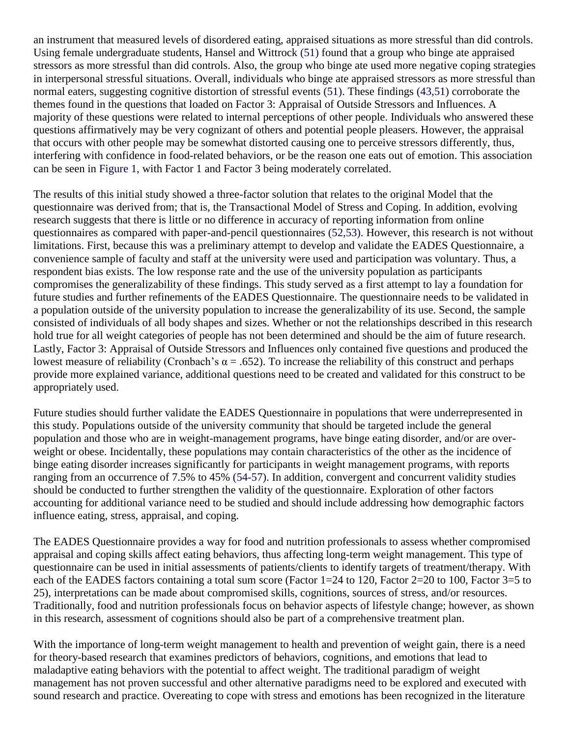an instrument that measured levels of disordered eating, appraised situations as more stressful than did controls. Using female undergraduate students, Hansel and Wittrock (51) found that a group who binge ate appraised stressors as more stressful than did controls. Also, the group who binge ate used more negative coping strategies in interpersonal stressful situations. Overall, individuals who binge ate appraised stressors as more stressful than normal eaters, suggesting cognitive distortion of stressful events (51). These findings (43,51) corroborate the themes found in the questions that loaded on Factor 3: Appraisal of Outside Stressors and Influences. A majority of these questions were related to internal perceptions of other people. Individuals who answered these questions affirmatively may be very cognizant of others and potential people pleasers. However, the appraisal that occurs with other people may be somewhat distorted causing one to perceive stressors differently, thus, interfering with confidence in food-related behaviors, or be the reason one eats out of emotion. This association can be seen in Figure 1, with Factor 1 and Factor 3 being moderately correlated.

The results of this initial study showed a three-factor solution that relates to the original Model that the questionnaire was derived from; that is, the Transactional Model of Stress and Coping. In addition, evolving research suggests that there is little or no difference in accuracy of reporting information from online questionnaires as compared with paper-and-pencil questionnaires (52,53). However, this research is not without limitations. First, because this was a preliminary attempt to develop and validate the EADES Questionnaire, a convenience sample of faculty and staff at the university were used and participation was voluntary. Thus, a respondent bias exists. The low response rate and the use of the university population as participants compromises the generalizability of these findings. This study served as a first attempt to lay a foundation for future studies and further refinements of the EADES Questionnaire. The questionnaire needs to be validated in a population outside of the university population to increase the generalizability of its use. Second, the sample consisted of individuals of all body shapes and sizes. Whether or not the relationships described in this research hold true for all weight categories of people has not been determined and should be the aim of future research. Lastly, Factor 3: Appraisal of Outside Stressors and Influences only contained five questions and produced the lowest measure of reliability (Cronbach's  $\alpha = .652$ ). To increase the reliability of this construct and perhaps provide more explained variance, additional questions need to be created and validated for this construct to be appropriately used.

Future studies should further validate the EADES Questionnaire in populations that were underrepresented in this study. Populations outside of the university community that should be targeted include the general population and those who are in weight-management programs, have binge eating disorder, and/or are overweight or obese. Incidentally, these populations may contain characteristics of the other as the incidence of binge eating disorder increases significantly for participants in weight management programs, with reports ranging from an occurrence of 7.5% to 45% (54-57). In addition, convergent and concurrent validity studies should be conducted to further strengthen the validity of the questionnaire. Exploration of other factors accounting for additional variance need to be studied and should include addressing how demographic factors influence eating, stress, appraisal, and coping.

The EADES Questionnaire provides a way for food and nutrition professionals to assess whether compromised appraisal and coping skills affect eating behaviors, thus affecting long-term weight management. This type of questionnaire can be used in initial assessments of patients/clients to identify targets of treatment/therapy. With each of the EADES factors containing a total sum score (Factor 1=24 to 120, Factor 2=20 to 100, Factor 3=5 to 25), interpretations can be made about compromised skills, cognitions, sources of stress, and/or resources. Traditionally, food and nutrition professionals focus on behavior aspects of lifestyle change; however, as shown in this research, assessment of cognitions should also be part of a comprehensive treatment plan.

With the importance of long-term weight management to health and prevention of weight gain, there is a need for theory-based research that examines predictors of behaviors, cognitions, and emotions that lead to maladaptive eating behaviors with the potential to affect weight. The traditional paradigm of weight management has not proven successful and other alternative paradigms need to be explored and executed with sound research and practice. Overeating to cope with stress and emotions has been recognized in the literature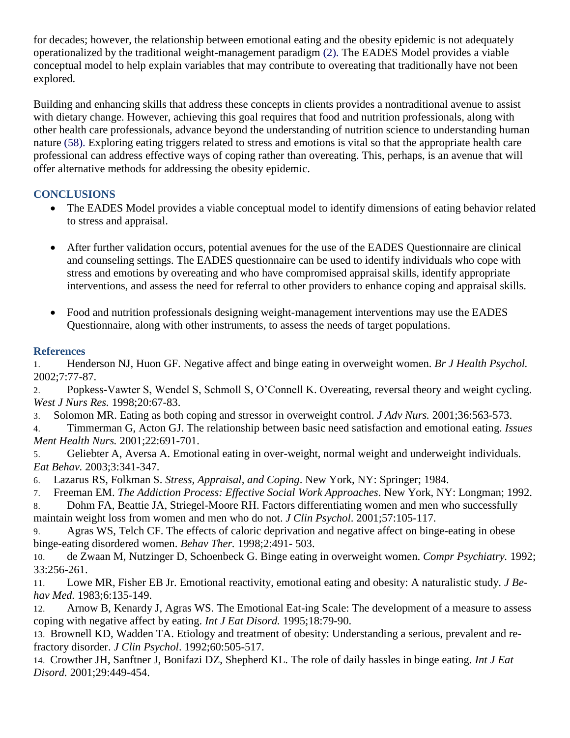for decades; however, the relationship between emotional eating and the obesity epidemic is not adequately operationalized by the traditional weight-management paradigm (2). The EADES Model provides a viable conceptual model to help explain variables that may contribute to overeating that traditionally have not been explored.

Building and enhancing skills that address these concepts in clients provides a nontraditional avenue to assist with dietary change. However, achieving this goal requires that food and nutrition professionals, along with other health care professionals, advance beyond the understanding of nutrition science to understanding human nature (58). Exploring eating triggers related to stress and emotions is vital so that the appropriate health care professional can address effective ways of coping rather than overeating. This, perhaps, is an avenue that will offer alternative methods for addressing the obesity epidemic.

# **CONCLUSIONS**

- The EADES Model provides a viable conceptual model to identify dimensions of eating behavior related to stress and appraisal.
- After further validation occurs, potential avenues for the use of the EADES Questionnaire are clinical and counseling settings. The EADES questionnaire can be used to identify individuals who cope with stress and emotions by overeating and who have compromised appraisal skills, identify appropriate interventions, and assess the need for referral to other providers to enhance coping and appraisal skills.
- Food and nutrition professionals designing weight-management interventions may use the EADES Questionnaire, along with other instruments, to assess the needs of target populations.

# **References**

1. Henderson NJ, Huon GF. Negative affect and binge eating in overweight women. *Br J Health Psychol.* 2002;7:77-87.

2. Popkess-Vawter S, Wendel S, Schmoll S, O'Connell K. Overeating, reversal theory and weight cycling. *West J Nurs Res.* 1998;20:67-83.

3. Solomon MR. Eating as both coping and stressor in overweight control. *J Adv Nurs.* 2001;36:563-573.

4. Timmerman G, Acton GJ. The relationship between basic need satisfaction and emotional eating. *Issues Ment Health Nurs.* 2001;22:691-701.

5. Geliebter A, Aversa A. Emotional eating in over-weight, normal weight and underweight individuals. *Eat Behav.* 2003;3:341-347.

6. Lazarus RS, Folkman S. *Stress, Appraisal, and Coping*. New York, NY: Springer; 1984.

7. Freeman EM. *The Addiction Process: Effective Social Work Approaches*. New York, NY: Longman; 1992.

8. Dohm FA, Beattie JA, Striegel-Moore RH. Factors differentiating women and men who successfully maintain weight loss from women and men who do not. *J Clin Psychol*. 2001;57:105-117.

9. Agras WS, Telch CF. The effects of caloric deprivation and negative affect on binge-eating in obese binge-eating disordered women. *Behav Ther.* 1998;2:491- 503.

10. de Zwaan M, Nutzinger D, Schoenbeck G. Binge eating in overweight women. *Compr Psychiatry.* 1992; 33:256-261.

11. Lowe MR, Fisher EB Jr. Emotional reactivity, emotional eating and obesity: A naturalistic study. *J Behav Med.* 1983;6:135-149.

12. Arnow B, Kenardy J, Agras WS. The Emotional Eat-ing Scale: The development of a measure to assess coping with negative affect by eating. *Int J Eat Disord.* 1995;18:79-90.

13. Brownell KD, Wadden TA. Etiology and treatment of obesity: Understanding a serious, prevalent and refractory disorder. *J Clin Psychol*. 1992;60:505-517.

14. Crowther JH, Sanftner J, Bonifazi DZ, Shepherd KL. The role of daily hassles in binge eating. *Int J Eat Disord.* 2001;29:449-454.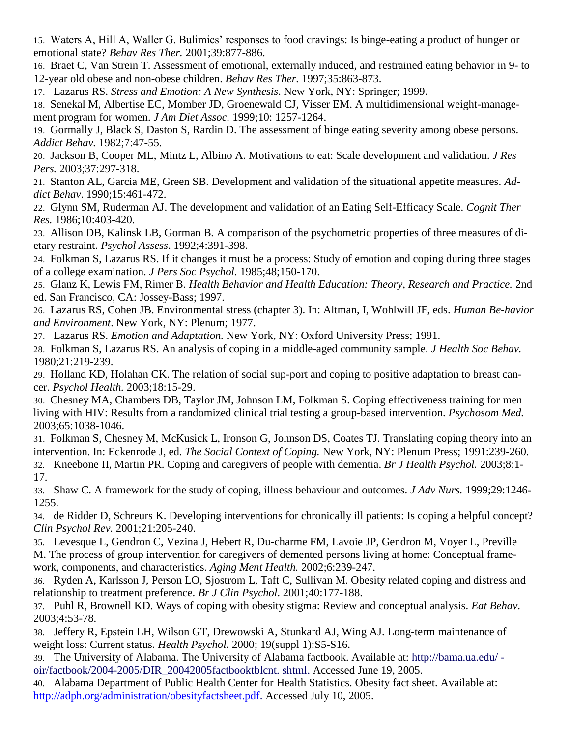15. Waters A, Hill A, Waller G. Bulimics' responses to food cravings: Is binge-eating a product of hunger or emotional state? *Behav Res Ther.* 2001;39:877-886.

16. Braet C, Van Strein T. Assessment of emotional, externally induced, and restrained eating behavior in 9- to 12-year old obese and non-obese children. *Behav Res Ther.* 1997;35:863-873.

17. Lazarus RS. *Stress and Emotion: A New Synthesis*. New York, NY: Springer; 1999.

18. Senekal M, Albertise EC, Momber JD, Groenewald CJ, Visser EM. A multidimensional weight-management program for women. *J Am Diet Assoc.* 1999;10: 1257-1264.

19. Gormally J, Black S, Daston S, Rardin D. The assessment of binge eating severity among obese persons. *Addict Behav.* 1982;7:47-55.

20. Jackson B, Cooper ML, Mintz L, Albino A. Motivations to eat: Scale development and validation. *J Res Pers.* 2003;37:297-318.

21. Stanton AL, Garcia ME, Green SB. Development and validation of the situational appetite measures. *Addict Behav*. 1990;15:461-472.

22. Glynn SM, Ruderman AJ. The development and validation of an Eating Self-Efficacy Scale. *Cognit Ther Res.* 1986;10:403-420.

23. Allison DB, Kalinsk LB, Gorman B. A comparison of the psychometric properties of three measures of dietary restraint. *Psychol Assess*. 1992;4:391-398.

24. Folkman S, Lazarus RS. If it changes it must be a process: Study of emotion and coping during three stages of a college examination. *J Pers Soc Psychol.* 1985;48;150-170.

25. Glanz K, Lewis FM, Rimer B. *Health Behavior and Health Education: Theory, Research and Practice.* 2nd ed. San Francisco, CA: Jossey-Bass; 1997.

26. Lazarus RS, Cohen JB. Environmental stress (chapter 3). In: Altman, I, Wohlwill JF, eds. *Human Be-havior and Environment*. New York, NY: Plenum; 1977.

27. Lazarus RS. *Emotion and Adaptation.* New York, NY: Oxford University Press; 1991.

28. Folkman S, Lazarus RS. An analysis of coping in a middle-aged community sample. *J Health Soc Behav.* 1980;21:219-239.

29. Holland KD, Holahan CK. The relation of social sup-port and coping to positive adaptation to breast cancer. *Psychol Health.* 2003;18:15-29.

30. Chesney MA, Chambers DB, Taylor JM, Johnson LM, Folkman S. Coping effectiveness training for men living with HIV: Results from a randomized clinical trial testing a group-based intervention. *Psychosom Med.* 2003;65:1038-1046.

31. Folkman S, Chesney M, McKusick L, Ironson G, Johnson DS, Coates TJ. Translating coping theory into an intervention. In: Eckenrode J, ed. *The Social Context of Coping.* New York, NY: Plenum Press; 1991:239-260.

32. Kneebone II, Martin PR. Coping and caregivers of people with dementia. *Br J Health Psychol.* 2003;8:1- 17.

33. Shaw C. A framework for the study of coping, illness behaviour and outcomes. *J Adv Nurs.* 1999;29:1246- 1255.

34. de Ridder D, Schreurs K. Developing interventions for chronically ill patients: Is coping a helpful concept? *Clin Psychol Rev.* 2001;21:205-240.

35. Levesque L, Gendron C, Vezina J, Hebert R, Du-charme FM, Lavoie JP, Gendron M, Voyer L, Preville M. The process of group intervention for caregivers of demented persons living at home: Conceptual framework, components, and characteristics. *Aging Ment Health.* 2002;6:239-247.

36. Ryden A, Karlsson J, Person LO, Sjostrom L, Taft C, Sullivan M. Obesity related coping and distress and relationship to treatment preference. *Br J Clin Psychol*. 2001;40:177-188.

37. Puhl R, Brownell KD. Ways of coping with obesity stigma: Review and conceptual analysis. *Eat Behav*. 2003;4:53-78.

38. Jeffery R, Epstein LH, Wilson GT, Drewowski A, Stunkard AJ, Wing AJ. Long-term maintenance of weight loss: Current status. *Health Psychol.* 2000; 19(suppl 1):S5-S16.

39. The University of Alabama. The University of Alabama factbook. Available at: http://bama.ua.edu/ oir/factbook/2004-2005/DIR\_20042005factbooktblcnt. shtml. Accessed June 19, 2005.

40. Alabama Department of Public Health Center for Health Statistics. Obesity fact sheet. Available at: [http://adph.org/administration/obesityfactsheet.pdf.](http://adph.org/administration/obesityfactsheet.pdf) Accessed July 10, 2005.